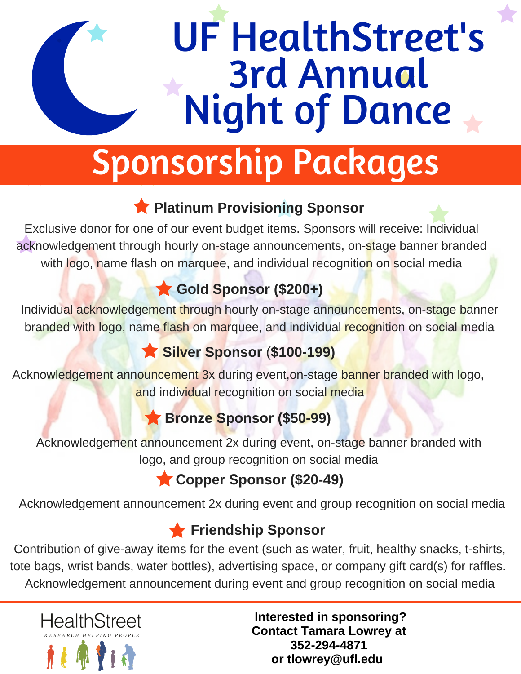# UF HealthStreet's 3rd Annual Night of Dance

## Sponsorship Packages

#### **Platinum Provisioning Sponsor**

Exclusive donor for one of our event budget items. Sponsors will receive: Individual acknowledgement through hourly on-stage announcements, on-stage banner branded with logo, name flash on marquee, and individual recognition on social media

### **Gold Sponsor (\$200+)**

Individual acknowledgement through hourly on-stage announcements, on-stage banner branded with logo, name flash on marquee, and individual recognition on social media

#### **Silver Sponsor** (**\$100-199)**

Acknowledgement announcement 3x during event,on-stage banner branded with logo, and individual recognition on social media

#### **Bronze Sponsor (\$50-99)**

Acknowledgement announcement 2x during event, on-stage banner branded with logo, and group recognition on social media

#### **Copper Sponsor (\$20-49)**

Acknowledgement announcement 2x during event and group recognition on social media

#### **Friendship Sponsor**

Contribution of give-away items for the event (such as water, fruit, healthy snacks, t-shirts, tote bags, wrist bands, water bottles), advertising space, or company gift card(s) for raffles. Acknowledgement announcement during event and group recognition on social media



 **Interested in sponsoring? Contact Tamara Lowrey at 352-294-4871 or tlowrey@ufl.edu**